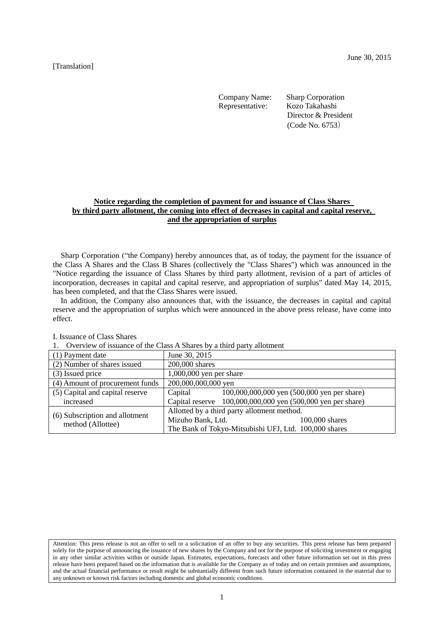Representative: Kozo Takahashi

Company Name: Sharp Corporation Director & President (Code No. 6753)

# **Notice regarding the completion of payment for and issuance of Class Shares by third party allotment, the coming into effect of decreases in capital and capital reserve, and the appropriation of surplus**

Sharp Corporation ("the Company) hereby announces that, as of today, the payment for the issuance of the Class A Shares and the Class B Shares (collectively the "Class Shares") which was announced in the "Notice regarding the issuance of Class Shares by third party allotment, revision of a part of articles of incorporation, decreases in capital and capital reserve, and appropriation of surplus" dated May 14, 2015, has been completed, and that the Class Shares were issued.

In addition, the Company also announces that, with the issuance, the decreases in capital and capital reserve and the appropriation of surplus which were announced in the above press release, have come into effect.

| 1. Overview of holding of the enable examines by a third party allottion |                                                             |  |  |  |
|--------------------------------------------------------------------------|-------------------------------------------------------------|--|--|--|
| (1) Payment date                                                         | June 30, 2015                                               |  |  |  |
| (2) Number of shares issued                                              | 200,000 shares                                              |  |  |  |
| (3) Issued price                                                         | $1,000,000$ yen per share                                   |  |  |  |
| (4) Amount of procurement funds                                          | 200,000,000,000 yen                                         |  |  |  |
| (5) Capital and capital reserve                                          | Capital<br>100,000,000,000 yen (500,000 yen per share)      |  |  |  |
| increased                                                                | Capital reserve 100,000,000,000 yen (500,000 yen per share) |  |  |  |
| (6) Subscription and allotment                                           | Allotted by a third party allotment method.                 |  |  |  |
| method (Allottee)                                                        | Mizuho Bank, Ltd.<br>$100,000$ shares                       |  |  |  |
|                                                                          | The Bank of Tokyo-Mitsubishi UFJ, Ltd. 100,000 shares       |  |  |  |

I. Issuance of Class Shares

<sup>1.</sup> Overview of issuance of the Class A Shares by a third party allotment

Attention: This press release is not an offer to sell or a solicitation of an offer to buy any securities. This press release has been prepared solely for the purpose of announcing the issuance of new shares by the Company and not for the purpose of soliciting investment or engaging in any other similar activities within or outside Japan. Estimates, expectations, forecasts and other future information set out in this press release have been prepared based on the information that is available for the Company as of today and on certain premises and assumptions, and the actual financial performance or result might be substantially different from such future information contained in the material due to any unknown or known risk factors including domestic and global economic conditions.